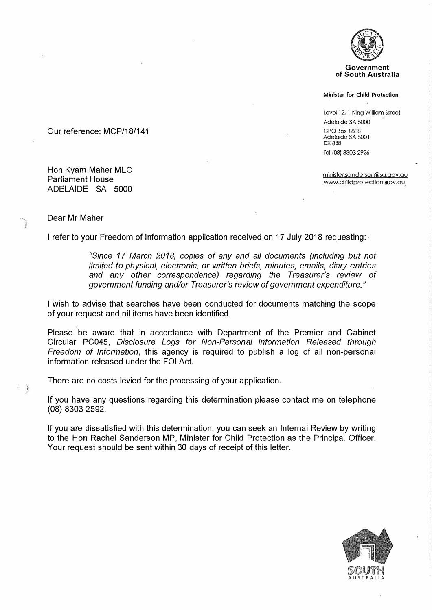

**Government of South Australia** 

#### **Minister for Child Protection**

Level 12, l King William Street Adelaide SA 5000 GPO Box 183B Adelaide SA 500 l DX 838 Tel (08} 8303 2926

minister.sanderson@sa.qov.au www.childprotection.qov.au

# Our reference: MCP/18/141

Hon Kyam Maher MLC Parliament House ADELAIDE SA 5000

## Dear Mr Maher

I refer to your Freedom of Information application received on 17 July 2018 requesting: -

*"Since 17 March 2018, copies of any and all documents (including but not limited to physical, electronic, or written briefs, minutes, emails, diary entries and any other correspondence) regarding the Treasurer's review of government funding and/or Treasurer's review of government expenditure."* 

I wish to advise that searches have been conducted for documents matching the scope of your request and nil items have been identified.

Please be aware that in accordance with Department of the Premier and Cabinet Circular PC045, *Disclosure Logs for Non-Personal Information Released through Freedom of Information,* this agency is required to publish a log of all non-personal information released under the FOi Act.

There are no costs levied for the processing of your application.

If you have any questions regarding this determination please contact me on telephone (08) 8303 2592.

If you are dissatisfied with this determination, you can seek an Internal Review by writing to the Hon Rachel Sanderson MP, Minister for Child Protection as the Principal Officer. Your request should be sent within 30 days of receipt of this letter.

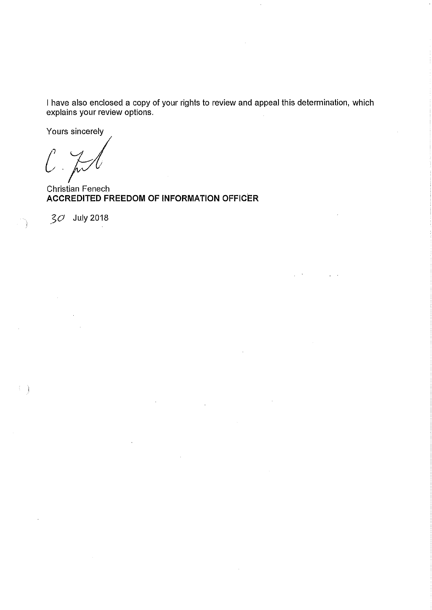I have also enclosed a copy of your rights to review and appeal this determination, which explains your review options.

Yours sincerely

l

**Christian Fenech ACCREDITED FREEDOM OF INFORMATION OFFICER** 

 $30$  July 2018

 $\left\{ \begin{array}{c} 1 \\ 1 \end{array} \right\}$